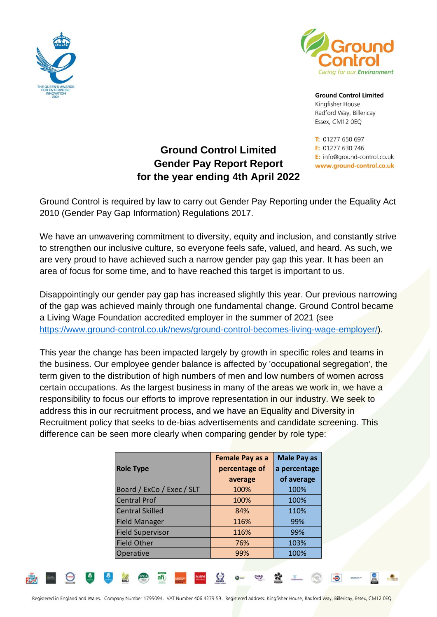



**Ground Control Limited** Kingfisher House Radford Way, Billericay Essex, CM12 0EQ

T: 01277 650 697 F: 01277 630 746 E: info@ground-control.co.uk www.ground-control.co.uk

## **Ground Control Limited Gender Pay Report Report for the year ending 4th April 2022**

Ground Control is required by law to carry out Gender Pay Reporting under the Equality Act 2010 (Gender Pay Gap Information) Regulations 2017.

We have an unwavering commitment to diversity, equity and inclusion, and constantly strive to strengthen our inclusive culture, so everyone feels safe, valued, and heard. As such, we are very proud to have achieved such a narrow gender pay gap this year. It has been an area of focus for some time, and to have reached this target is important to us.

Disappointingly our gender pay gap has increased slightly this year. Our previous narrowing of the gap was achieved mainly through one fundamental change. Ground Control became a Living Wage Foundation accredited employer in the summer of 2021 (see [https://www.ground-control.co.uk/news/ground-control-becomes-living-wage-employer/\)](https://www.ground-control.co.uk/news/ground-control-becomes-living-wage-employer/).

This year the change has been impacted largely by growth in specific roles and teams in the business. Our employee gender balance is affected by 'occupational segregation', the term given to the distribution of high numbers of men and low numbers of women across certain occupations. As the largest business in many of the areas we work in, we have a responsibility to focus our efforts to improve representation in our industry. We seek to address this in our recruitment process, and we have an Equality and Diversity in Recruitment policy that seeks to de-bias advertisements and candidate screening. This difference can be seen more clearly when comparing gender by role type:

|                           | <b>Female Pay as a</b> | <b>Male Pay as</b> |
|---------------------------|------------------------|--------------------|
| <b>Role Type</b>          | percentage of          | a percentage       |
|                           | average                | of average         |
| Board / ExCo / Exec / SLT | 100%                   | 100%               |
| <b>Central Prof</b>       | 100%                   | 100%               |
| <b>Central Skilled</b>    | 84%                    | 110%               |
| <b>Field Manager</b>      | 116%                   | 99%                |
| <b>Field Supervisor</b>   | 116%                   | 99%                |
| <b>Field Other</b>        | 76%                    | 103%               |
| Operative                 | 99%                    | 100%               |
|                           |                        |                    |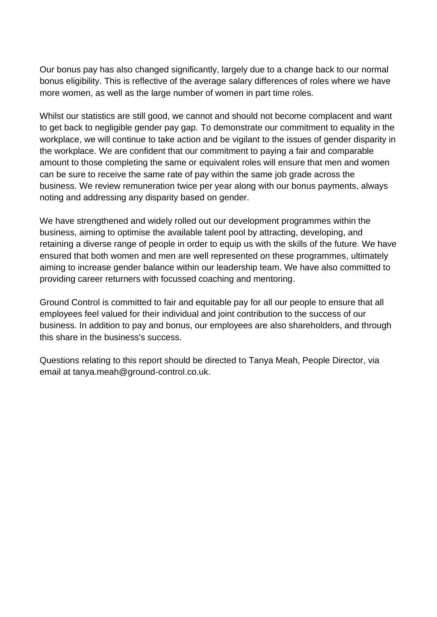Our bonus pay has also changed significantly, largely due to a change back to our normal bonus eligibility. This is reflective of the average salary differences of roles where we have more women, as well as the large number of women in part time roles.

Whilst our statistics are still good, we cannot and should not become complacent and want to get back to negligible gender pay gap. To demonstrate our commitment to equality in the workplace, we will continue to take action and be vigilant to the issues of gender disparity in the workplace. We are confident that our commitment to paying a fair and comparable amount to those completing the same or equivalent roles will ensure that men and women can be sure to receive the same rate of pay within the same job grade across the business. We review remuneration twice per year along with our bonus payments, always noting and addressing any disparity based on gender.

We have strengthened and widely rolled out our development programmes within the business, aiming to optimise the available talent pool by attracting, developing, and retaining a diverse range of people in order to equip us with the skills of the future. We have ensured that both women and men are well represented on these programmes, ultimately aiming to increase gender balance within our leadership team. We have also committed to providing career returners with focussed coaching and mentoring.

Ground Control is committed to fair and equitable pay for all our people to ensure that all employees feel valued for their individual and joint contribution to the success of our business. In addition to pay and bonus, our employees are also shareholders, and through this share in the business's success.

Questions relating to this report should be directed to Tanya Meah, People Director, via email at tanya.meah@ground-control.co.uk.